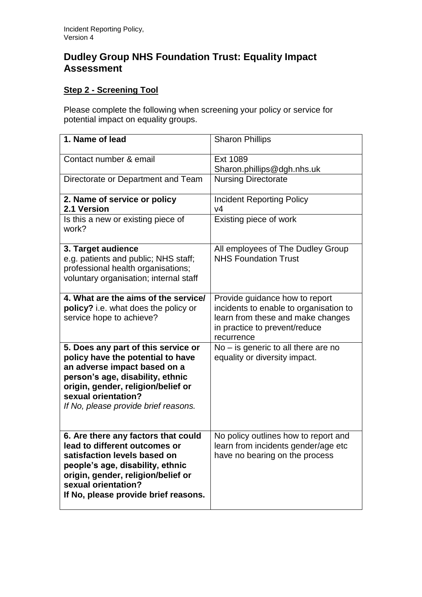## **Dudley Group NHS Foundation Trust: Equality Impact Assessment**

## **Step 2 - Screening Tool**

Please complete the following when screening your policy or service for potential impact on equality groups.

| 1. Name of lead                                                                                                                                                                                                                                   | <b>Sharon Phillips</b>                                                                                                                                       |
|---------------------------------------------------------------------------------------------------------------------------------------------------------------------------------------------------------------------------------------------------|--------------------------------------------------------------------------------------------------------------------------------------------------------------|
| Contact number & email                                                                                                                                                                                                                            | Ext 1089<br>Sharon.phillips@dgh.nhs.uk                                                                                                                       |
| Directorate or Department and Team                                                                                                                                                                                                                | <b>Nursing Directorate</b>                                                                                                                                   |
| 2. Name of service or policy<br>2.1 Version                                                                                                                                                                                                       | <b>Incident Reporting Policy</b><br>V <sub>4</sub>                                                                                                           |
| Is this a new or existing piece of<br>work?                                                                                                                                                                                                       | Existing piece of work                                                                                                                                       |
| 3. Target audience<br>e.g. patients and public; NHS staff;<br>professional health organisations;<br>voluntary organisation; internal staff                                                                                                        | All employees of The Dudley Group<br><b>NHS Foundation Trust</b>                                                                                             |
| 4. What are the aims of the service/<br>policy? i.e. what does the policy or<br>service hope to achieve?                                                                                                                                          | Provide guidance how to report<br>incidents to enable to organisation to<br>learn from these and make changes<br>in practice to prevent/reduce<br>recurrence |
| 5. Does any part of this service or<br>policy have the potential to have<br>an adverse impact based on a<br>person's age, disability, ethnic<br>origin, gender, religion/belief or<br>sexual orientation?<br>If No, please provide brief reasons. | $No - is generic to all there are no$<br>equality or diversity impact.                                                                                       |
| 6. Are there any factors that could<br>lead to different outcomes or<br>satisfaction levels based on<br>people's age, disability, ethnic<br>origin, gender, religion/belief or<br>sexual orientation?<br>If No, please provide brief reasons.     | No policy outlines how to report and<br>learn from incidents gender/age etc<br>have no bearing on the process                                                |